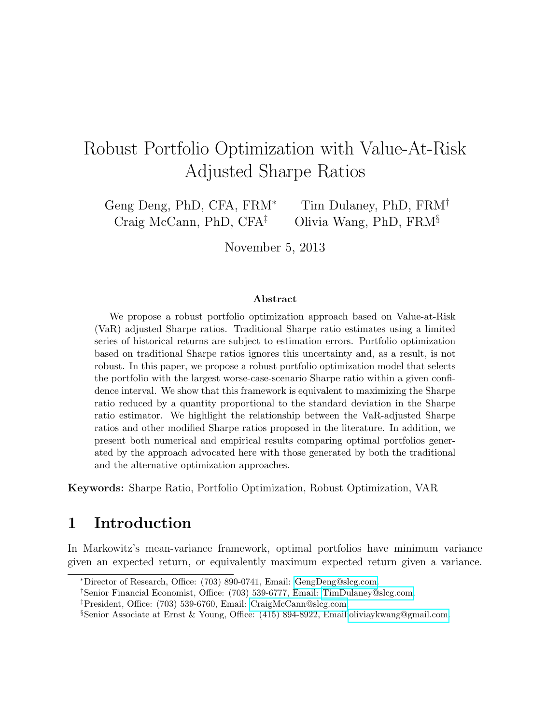# <span id="page-0-0"></span>Robust Portfolio Optimization with Value-At-Risk Adjusted Sharpe Ratios

Geng Deng, PhD, CFA, FRM<sup>∗</sup> Tim Dulaney, PhD, FRM<sup>†</sup> Craig McCann, PhD, CFA<sup> $\ddagger$ </sup> Olivia Wang, PhD, FRM<sup>§</sup>

November 5, 2013

#### ${\rm Abstract}$

We propose a robust portfolio optimization approach based on Value-at-Risk (VaR) adjusted Sharpe ratios. Traditional Sharpe ratio estimates using a limited series of historical returns are subject to estimation errors. Portfolio optimization based on traditional Sharpe ratios ignores this uncertainty and, as a result, is not robust. In this paper, we propose a robust portfolio optimization model that selects the portfolio with the largest worse-case-scenario Sharpe ratio within a given confidence interval. We show that this framework is equivalent to maximizing the Sharpe ratio reduced by a quantity proportional to the standard deviation in the Sharpe ratio estimator. We highlight the relationship between the VaR-adjusted Sharpe ratios and other modified Sharpe ratios proposed in the literature. In addition, we present both numerical and empirical results comparing optimal portfolios generated by the approach advocated here with those generated by both the traditional and the alternative optimization approaches.

Keywords: Sharpe Ratio, Portfolio Optimization, Robust Optimization, VAR

### 1 Introduction

In Markowitz's mean-variance framework, optimal portfolios have minimum variance given an expected return, or equivalently maximum expected return given a variance.

<sup>∗</sup>Director of Research, Office: (703) 890-0741, Email: [GengDeng@slcg.com.](mailto:GengDeng@slcg.com)

<sup>†</sup>Senior Financial Economist, Office: (703) 539-6777, Email: [TimDulaney@slcg.com.](mailto:TimDulaney@slcg.com)

<sup>‡</sup>President, Office: (703) 539-6760, Email: [CraigMcCann@slcg.com.](mailto:CraigMcCann@slcg.com)

<sup>§</sup>Senior Associate at Ernst & Young, Office: (415) 894-8922, Email[:oliviaykwang@gmail.com.](mailto:oliviaykwang@gmail.com)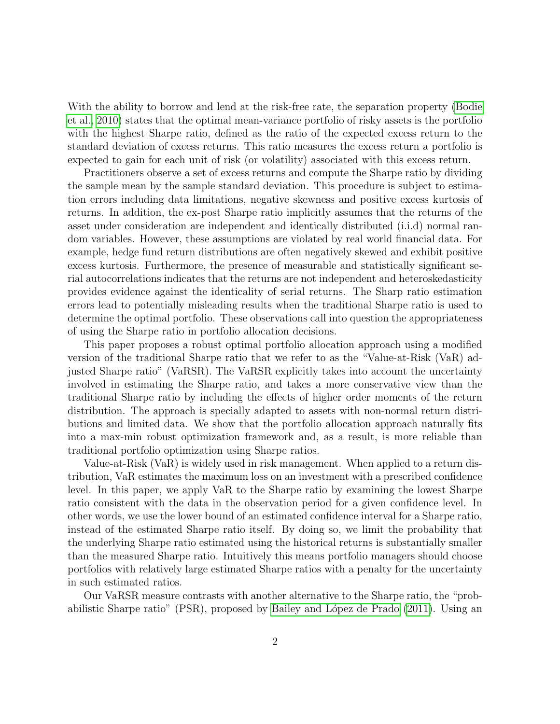With the ability to borrow and lend at the risk-free rate, the separation property [\(Bodie](#page-20-0) [et al., 2010\)](#page-20-0) states that the optimal mean-variance portfolio of risky assets is the portfolio with the highest Sharpe ratio, defined as the ratio of the expected excess return to the standard deviation of excess returns. This ratio measures the excess return a portfolio is expected to gain for each unit of risk (or volatility) associated with this excess return.

Practitioners observe a set of excess returns and compute the Sharpe ratio by dividing the sample mean by the sample standard deviation. This procedure is subject to estimation errors including data limitations, negative skewness and positive excess kurtosis of returns. In addition, the ex-post Sharpe ratio implicitly assumes that the returns of the asset under consideration are independent and identically distributed (i.i.d) normal random variables. However, these assumptions are violated by real world financial data. For example, hedge fund return distributions are often negatively skewed and exhibit positive excess kurtosis. Furthermore, the presence of measurable and statistically significant serial autocorrelations indicates that the returns are not independent and heteroskedasticity provides evidence against the identicality of serial returns. The Sharp ratio estimation errors lead to potentially misleading results when the traditional Sharpe ratio is used to determine the optimal portfolio. These observations call into question the appropriateness of using the Sharpe ratio in portfolio allocation decisions.

This paper proposes a robust optimal portfolio allocation approach using a modified version of the traditional Sharpe ratio that we refer to as the "Value-at-Risk (VaR) adjusted Sharpe ratio" (VaRSR). The VaRSR explicitly takes into account the uncertainty involved in estimating the Sharpe ratio, and takes a more conservative view than the traditional Sharpe ratio by including the effects of higher order moments of the return distribution. The approach is specially adapted to assets with non-normal return distributions and limited data. We show that the portfolio allocation approach naturally fits into a max-min robust optimization framework and, as a result, is more reliable than traditional portfolio optimization using Sharpe ratios.

Value-at-Risk (VaR) is widely used in risk management. When applied to a return distribution, VaR estimates the maximum loss on an investment with a prescribed confidence level. In this paper, we apply VaR to the Sharpe ratio by examining the lowest Sharpe ratio consistent with the data in the observation period for a given confidence level. In other words, we use the lower bound of an estimated confidence interval for a Sharpe ratio, instead of the estimated Sharpe ratio itself. By doing so, we limit the probability that the underlying Sharpe ratio estimated using the historical returns is substantially smaller than the measured Sharpe ratio. Intuitively this means portfolio managers should choose portfolios with relatively large estimated Sharpe ratios with a penalty for the uncertainty in such estimated ratios.

Our VaRSR measure contrasts with another alternative to the Sharpe ratio, the "prob-abilistic Sharpe ratio" (PSR), proposed by Bailey and López de Prado [\(2011\)](#page-20-1). Using an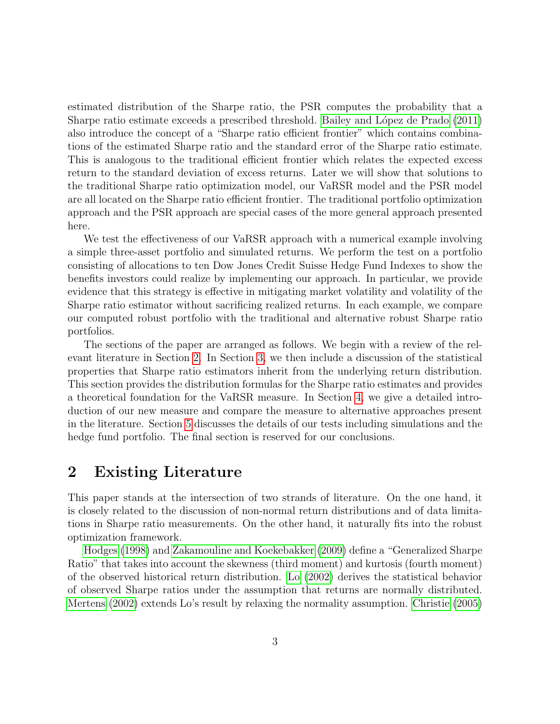estimated distribution of the Sharpe ratio, the PSR computes the probability that a Sharpe ratio estimate exceeds a prescribed threshold. Bailey and López de Prado [\(2011\)](#page-20-1) also introduce the concept of a "Sharpe ratio efficient frontier" which contains combinations of the estimated Sharpe ratio and the standard error of the Sharpe ratio estimate. This is analogous to the traditional efficient frontier which relates the expected excess return to the standard deviation of excess returns. Later we will show that solutions to the traditional Sharpe ratio optimization model, our VaRSR model and the PSR model are all located on the Sharpe ratio efficient frontier. The traditional portfolio optimization approach and the PSR approach are special cases of the more general approach presented here.

We test the effectiveness of our VaRSR approach with a numerical example involving a simple three-asset portfolio and simulated returns. We perform the test on a portfolio consisting of allocations to ten Dow Jones Credit Suisse Hedge Fund Indexes to show the benefits investors could realize by implementing our approach. In particular, we provide evidence that this strategy is effective in mitigating market volatility and volatility of the Sharpe ratio estimator without sacrificing realized returns. In each example, we compare our computed robust portfolio with the traditional and alternative robust Sharpe ratio portfolios.

The sections of the paper are arranged as follows. We begin with a review of the relevant literature in Section [2.](#page-2-0) In Section [3,](#page-3-0) we then include a discussion of the statistical properties that Sharpe ratio estimators inherit from the underlying return distribution. This section provides the distribution formulas for the Sharpe ratio estimates and provides a theoretical foundation for the VaRSR measure. In Section [4,](#page-5-0) we give a detailed introduction of our new measure and compare the measure to alternative approaches present in the literature. Section [5](#page-11-0) discusses the details of our tests including simulations and the hedge fund portfolio. The final section is reserved for our conclusions.

### <span id="page-2-0"></span>2 Existing Literature

This paper stands at the intersection of two strands of literature. On the one hand, it is closely related to the discussion of non-normal return distributions and of data limitations in Sharpe ratio measurements. On the other hand, it naturally fits into the robust optimization framework.

[Hodges](#page-20-2) [\(1998\)](#page-20-2) and [Zakamouline and Koekebakker](#page-21-0) [\(2009\)](#page-21-0) define a "Generalized Sharpe Ratio" that takes into account the skewness (third moment) and kurtosis (fourth moment) of the observed historical return distribution. [Lo](#page-20-3) [\(2002\)](#page-20-3) derives the statistical behavior of observed Sharpe ratios under the assumption that returns are normally distributed. [Mertens](#page-20-4) [\(2002\)](#page-20-4) extends Lo's result by relaxing the normality assumption. [Christie](#page-20-5) [\(2005\)](#page-20-5)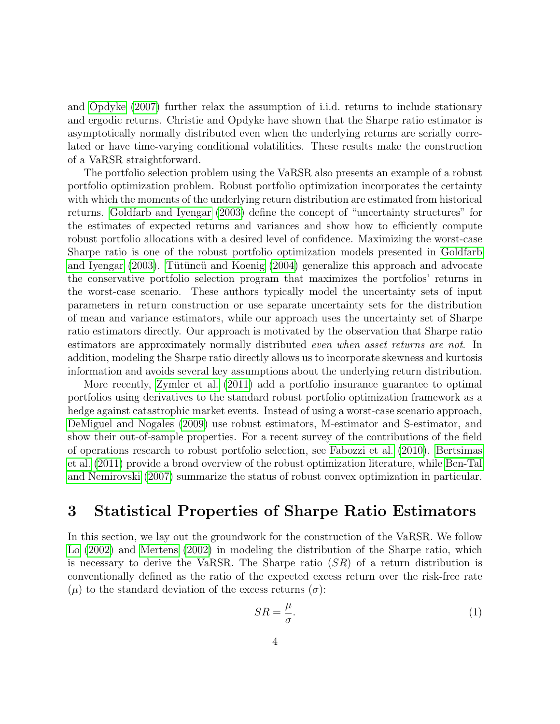and [Opdyke](#page-21-1) [\(2007\)](#page-21-1) further relax the assumption of i.i.d. returns to include stationary and ergodic returns. Christie and Opdyke have shown that the Sharpe ratio estimator is asymptotically normally distributed even when the underlying returns are serially correlated or have time-varying conditional volatilities. These results make the construction of a VaRSR straightforward.

The portfolio selection problem using the VaRSR also presents an example of a robust portfolio optimization problem. Robust portfolio optimization incorporates the certainty with which the moments of the underlying return distribution are estimated from historical returns. [Goldfarb and Iyengar](#page-20-6) [\(2003\)](#page-20-6) define the concept of "uncertainty structures" for the estimates of expected returns and variances and show how to efficiently compute robust portfolio allocations with a desired level of confidence. Maximizing the worst-case Sharpe ratio is one of the robust portfolio optimization models presented in [Goldfarb](#page-20-6) [and Iyengar](#page-20-6) [\(2003\)](#page-20-6). Tütüncü and Koenig [\(2004\)](#page-21-2) generalize this approach and advocate the conservative portfolio selection program that maximizes the portfolios' returns in the worst-case scenario. These authors typically model the uncertainty sets of input parameters in return construction or use separate uncertainty sets for the distribution of mean and variance estimators, while our approach uses the uncertainty set of Sharpe ratio estimators directly. Our approach is motivated by the observation that Sharpe ratio estimators are approximately normally distributed even when asset returns are not. In addition, modeling the Sharpe ratio directly allows us to incorporate skewness and kurtosis information and avoids several key assumptions about the underlying return distribution.

More recently, [Zymler et al.](#page-21-3) [\(2011\)](#page-21-3) add a portfolio insurance guarantee to optimal portfolios using derivatives to the standard robust portfolio optimization framework as a hedge against catastrophic market events. Instead of using a worst-case scenario approach, [DeMiguel and Nogales](#page-20-7) [\(2009\)](#page-20-7) use robust estimators, M-estimator and S-estimator, and show their out-of-sample properties. For a recent survey of the contributions of the field of operations research to robust portfolio selection, see [Fabozzi et al.](#page-20-8) [\(2010\)](#page-20-8). [Bertsimas](#page-20-9) [et al.](#page-20-9) [\(2011\)](#page-20-9) provide a broad overview of the robust optimization literature, while [Ben-Tal](#page-20-10) [and Nemirovski](#page-20-10) [\(2007\)](#page-20-10) summarize the status of robust convex optimization in particular.

### <span id="page-3-0"></span>3 Statistical Properties of Sharpe Ratio Estimators

In this section, we lay out the groundwork for the construction of the VaRSR. We follow [Lo](#page-20-3) [\(2002\)](#page-20-3) and [Mertens](#page-20-4) [\(2002\)](#page-20-4) in modeling the distribution of the Sharpe ratio, which is necessary to derive the VaRSR. The Sharpe ratio  $(SR)$  of a return distribution is conventionally defined as the ratio of the expected excess return over the risk-free rate  $(\mu)$  to the standard deviation of the excess returns  $(\sigma)$ :

$$
SR = \frac{\mu}{\sigma}.\tag{1}
$$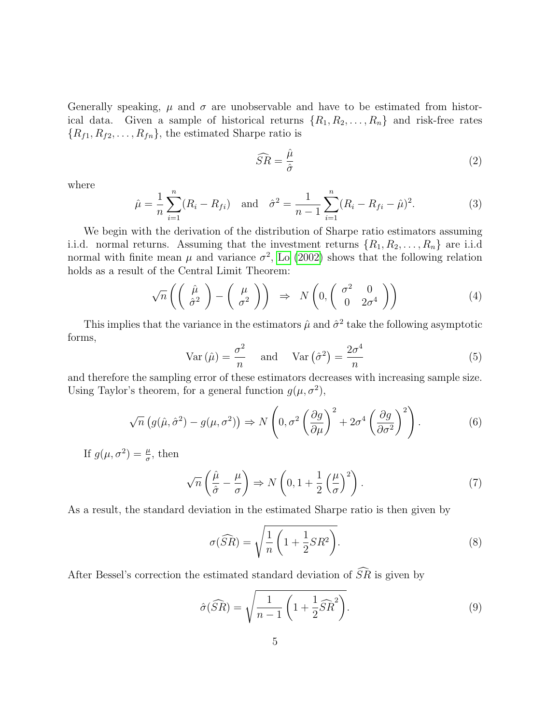Generally speaking,  $\mu$  and  $\sigma$  are unobservable and have to be estimated from historical data. Given a sample of historical returns  $\{R_1, R_2, \ldots, R_n\}$  and risk-free rates  ${R_{f1}, R_{f2}, \ldots, R_{fn}}$ , the estimated Sharpe ratio is

$$
\widehat{SR} = \frac{\widehat{\mu}}{\widehat{\sigma}} \tag{2}
$$

where

$$
\hat{\mu} = \frac{1}{n} \sum_{i=1}^{n} (R_i - R_{fi}) \quad \text{and} \quad \hat{\sigma}^2 = \frac{1}{n-1} \sum_{i=1}^{n} (R_i - R_{fi} - \hat{\mu})^2.
$$
 (3)

We begin with the derivation of the distribution of Sharpe ratio estimators assuming i.i.d. normal returns. Assuming that the investment returns  $\{R_1, R_2, \ldots, R_n\}$  are i.i.d normal with finite mean  $\mu$  and variance  $\sigma^2$ , [Lo](#page-20-3) [\(2002\)](#page-20-3) shows that the following relation holds as a result of the Central Limit Theorem:

$$
\sqrt{n}\left(\left(\begin{array}{c}\hat{\mu}\\ \hat{\sigma}^2\end{array}\right)-\left(\begin{array}{c}\mu\\ \sigma^2\end{array}\right)\right) \Rightarrow N\left(0, \left(\begin{array}{cc}\sigma^2 & 0\\ 0 & 2\sigma^4\end{array}\right)\right) \tag{4}
$$

This implies that the variance in the estimators  $\hat{\mu}$  and  $\hat{\sigma}^2$  take the following asymptotic forms,

$$
\text{Var}\left(\hat{\mu}\right) = \frac{\sigma^2}{n} \quad \text{and} \quad \text{Var}\left(\hat{\sigma}^2\right) = \frac{2\sigma^4}{n} \tag{5}
$$

and therefore the sampling error of these estimators decreases with increasing sample size. Using Taylor's theorem, for a general function  $g(\mu, \sigma^2)$ ,

$$
\sqrt{n}\left(g(\hat{\mu},\hat{\sigma}^2) - g(\mu,\sigma^2)\right) \Rightarrow N\left(0, \sigma^2 \left(\frac{\partial g}{\partial \mu}\right)^2 + 2\sigma^4 \left(\frac{\partial g}{\partial \sigma^2}\right)^2\right). \tag{6}
$$

If  $g(\mu, \sigma^2) = \frac{\mu}{\sigma}$ , then

$$
\sqrt{n}\left(\frac{\hat{\mu}}{\hat{\sigma}} - \frac{\mu}{\sigma}\right) \Rightarrow N\left(0, 1 + \frac{1}{2}\left(\frac{\mu}{\sigma}\right)^2\right). \tag{7}
$$

As a result, the standard deviation in the estimated Sharpe ratio is then given by

$$
\sigma(\widehat{SR}) = \sqrt{\frac{1}{n} \left( 1 + \frac{1}{2} SR^2 \right)}.
$$
\n(8)

After Bessel's correction the estimated standard deviation of  $\widehat{SR}$  is given by

<span id="page-4-0"></span>
$$
\hat{\sigma}(\widehat{SR}) = \sqrt{\frac{1}{n-1} \left(1 + \frac{1}{2} \widehat{SR}^2\right)}.
$$
\n(9)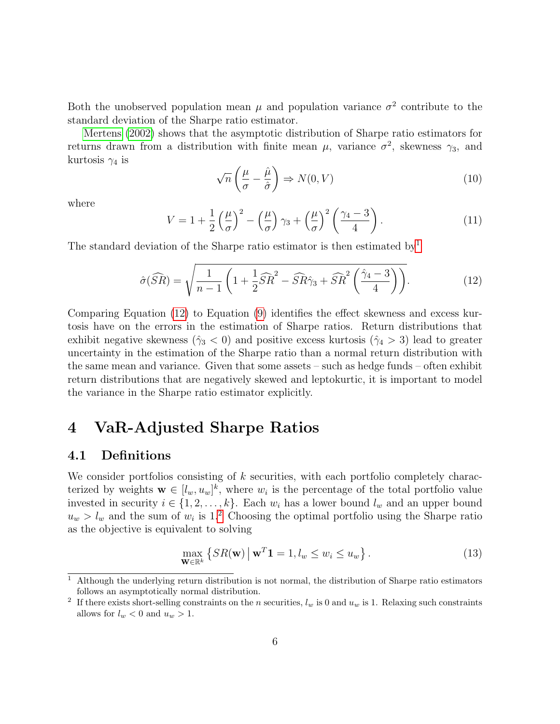Both the unobserved population mean  $\mu$  and population variance  $\sigma^2$  contribute to the standard deviation of the Sharpe ratio estimator.

[Mertens](#page-20-4) [\(2002\)](#page-20-4) shows that the asymptotic distribution of Sharpe ratio estimators for returns drawn from a distribution with finite mean  $\mu$ , variance  $\sigma^2$ , skewness  $\gamma_3$ , and kurtosis  $\gamma_4$  is

$$
\sqrt{n}\left(\frac{\mu}{\sigma} - \frac{\hat{\mu}}{\hat{\sigma}}\right) \Rightarrow N(0, V) \tag{10}
$$

where

$$
V = 1 + \frac{1}{2} \left(\frac{\mu}{\sigma}\right)^2 - \left(\frac{\mu}{\sigma}\right) \gamma_3 + \left(\frac{\mu}{\sigma}\right)^2 \left(\frac{\gamma_4 - 3}{4}\right). \tag{11}
$$

The standard deviation of the Sharpe ratio estimator is then estimated by<sup>[1](#page-0-0)</sup>

<span id="page-5-1"></span>
$$
\hat{\sigma}(\widehat{SR}) = \sqrt{\frac{1}{n-1} \left( 1 + \frac{1}{2} \widehat{SR}^2 - \widehat{SR}\hat{\gamma}_3 + \widehat{SR}^2 \left( \frac{\hat{\gamma}_4 - 3}{4} \right) \right)}.
$$
\n(12)

Comparing Equation [\(12\)](#page-5-1) to Equation [\(9\)](#page-4-0) identifies the effect skewness and excess kurtosis have on the errors in the estimation of Sharpe ratios. Return distributions that exhibit negative skewness ( $\hat{\gamma}_3$  < 0) and positive excess kurtosis ( $\hat{\gamma}_4$  > 3) lead to greater uncertainty in the estimation of the Sharpe ratio than a normal return distribution with the same mean and variance. Given that some assets – such as hedge funds – often exhibit return distributions that are negatively skewed and leptokurtic, it is important to model the variance in the Sharpe ratio estimator explicitly.

### <span id="page-5-0"></span>4 VaR-Adjusted Sharpe Ratios

#### 4.1 Definitions

We consider portfolios consisting of k securities, with each portfolio completely characterized by weights  $\mathbf{w} \in [l_w, u_w]^k$ , where  $w_i$  is the percentage of the total portfolio value invested in security  $i \in \{1, 2, ..., k\}$ . Each  $w_i$  has a lower bound  $l_w$  and an upper bound  $u_w > l_w$  and the sum of  $w_i$  is 1.<sup>[2](#page-0-0)</sup> Choosing the optimal portfolio using the Sharpe ratio as the objective is equivalent to solving

<span id="page-5-2"></span>
$$
\max_{\mathbf{W} \in \mathbb{R}^k} \left\{ SR(\mathbf{w}) \, \middle| \, \mathbf{w}^T \mathbf{1} = 1, l_w \le w_i \le u_w \right\}. \tag{13}
$$

<sup>&</sup>lt;sup>1</sup> Although the underlying return distribution is not normal, the distribution of Sharpe ratio estimators follows an asymptotically normal distribution.

<sup>&</sup>lt;sup>2</sup> If there exists short-selling constraints on the n securities,  $l_w$  is 0 and  $u_w$  is 1. Relaxing such constraints allows for  $l_w < 0$  and  $u_w > 1$ .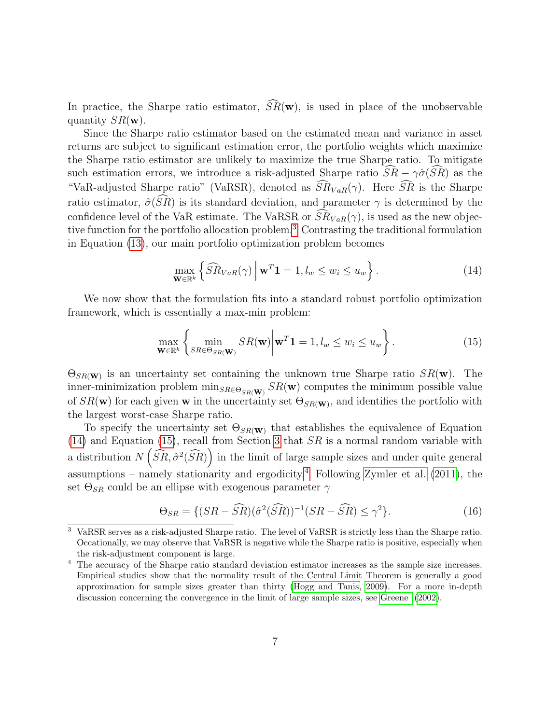In practice, the Sharpe ratio estimator,  $\widehat{SR}(\mathbf{w})$ , is used in place of the unobservable quantity  $SR(\mathbf{w})$ .

Since the Sharpe ratio estimator based on the estimated mean and variance in asset returns are subject to significant estimation error, the portfolio weights which maximize the Sharpe ratio estimator are unlikely to maximize the true Sharpe ratio. To mitigate such estimation errors, we introduce a risk-adjusted Sharpe ratio  $\widehat{SR} - \gamma \widehat{\sigma}(\widehat{SR})$  as the "VaR-adjusted Sharpe ratio" (VaRSR), denoted as  $\widehat{SR}_{VaR}(\gamma)$ . Here  $\widehat{SR}$  is the Sharpe ratio estimator,  $\hat{\sigma}(\widehat{SR})$  is its standard deviation, and parameter  $\gamma$  is determined by the confidence level of the VaR estimate. The VaRSR or  $\widehat{SR}_{VaR}(\gamma)$ , is used as the new objective function for the portfolio allocation problem.[3](#page-0-0) Contrasting the traditional formulation in Equation [\(13\)](#page-5-2), our main portfolio optimization problem becomes

<span id="page-6-0"></span>
$$
\max_{\mathbf{W}\in\mathbb{R}^k} \left\{ \widehat{SR}_{VaR}(\gamma) \, \middle| \, \mathbf{w}^T \mathbf{1} = 1, l_w \le w_i \le u_w \right\}.
$$
\n(14)

We now show that the formulation fits into a standard robust portfolio optimization framework, which is essentially a max-min problem:

<span id="page-6-1"></span>
$$
\max_{\mathbf{W}\in\mathbb{R}^k} \left\{ \min_{SR\in\Theta_{SR}(\mathbf{W})} SR(\mathbf{w}) \middle| \mathbf{w}^T \mathbf{1} = 1, l_w \le w_i \le u_w \right\}.
$$
\n(15)

 $\Theta_{SR(\mathbf{W})}$  is an uncertainty set containing the unknown true Sharpe ratio  $SR(\mathbf{w})$ . The inner-minimization problem  $\min_{SR \in \Theta_{SR}(\mathbf{W})} SR(\mathbf{w})$  computes the minimum possible value of  $SR(\mathbf{w})$  for each given **w** in the uncertainty set  $\Theta_{SR(\mathbf{w})}$ , and identifies the portfolio with the largest worst-case Sharpe ratio.

To specify the uncertainty set  $\Theta_{SR}(\mathbf{w})$  that establishes the equivalence of Equation [\(14\)](#page-6-0) and Equation [\(15\)](#page-6-1), recall from Section [3](#page-3-0) that  $SR$  is a normal random variable with a distribution  $N\left(\widehat{SR}, \hat{\sigma}^2(\widehat{SR})\right)$  in the limit of large sample sizes and under quite general assumptions – namely stationarity and ergodicity.<sup>[4](#page-0-0)</sup> Following [Zymler et al.](#page-21-3) [\(2011\)](#page-21-3), the set  $\Theta_{SR}$  could be an ellipse with exogenous parameter  $\gamma$ 

$$
\Theta_{SR} = \{ (SR - \widehat{SR})(\widehat{\sigma}^2(\widehat{SR}))^{-1}(SR - \widehat{SR}) \le \gamma^2 \}. \tag{16}
$$

<sup>3</sup> VaRSR serves as a risk-adjusted Sharpe ratio. The level of VaRSR is strictly less than the Sharpe ratio. Occationally, we may observe that VaRSR is negative while the Sharpe ratio is positive, especially when the risk-adjustment component is large.

<sup>&</sup>lt;sup>4</sup> The accuracy of the Sharpe ratio standard deviation estimator increases as the sample size increases. Empirical studies show that the normality result of the Central Limit Theorem is generally a good approximation for sample sizes greater than thirty [\(Hogg and Tanis, 2009\)](#page-20-11). For a more in-depth discussion concerning the convergence in the limit of large sample sizes, see [Greene](#page-20-12) [\(2002\)](#page-20-12).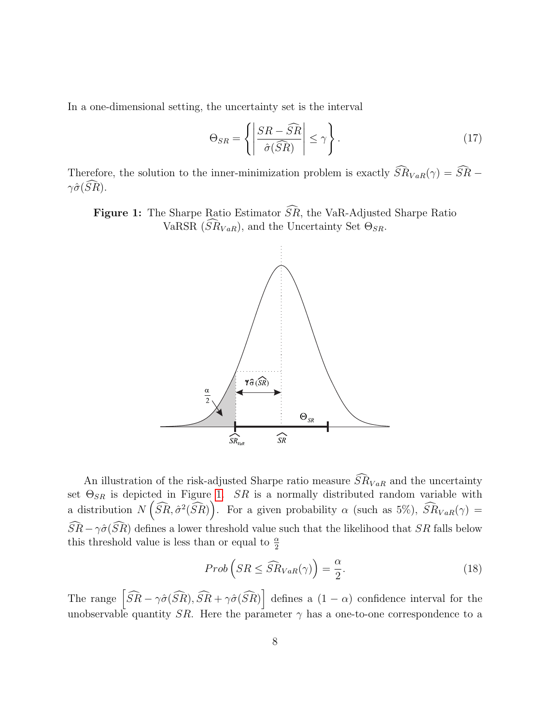In a one-dimensional setting, the uncertainty set is the interval

$$
\Theta_{SR} = \left\{ \left| \frac{SR - \widehat{SR}}{\hat{\sigma}(\widehat{SR})} \right| \le \gamma \right\}.
$$
 (17)

Therefore, the solution to the inner-minimization problem is exactly  $\widehat{SR}_{VaR}(\gamma) = \widehat{SR}$  –  $\gamma \hat{\sigma}(\widehat{SR})$ .

<span id="page-7-0"></span>Figure 1: The Sharpe Ratio Estimator  $\widehat{SR}$ , the VaR-Adjusted Sharpe Ratio VaRSR  $(\widehat{SR}_{VaR})$ , and the Uncertainty Set  $\Theta_{SR}$ .



An illustration of the risk-adjusted Sharpe ratio measure  $\widehat{SR}_{VaR}$  and the uncertainty set  $\Theta_{SR}$  is depicted in Figure [1.](#page-7-0) SR is a normally distributed random variable with a distribution  $N(\widehat{SR}, \widehat{\sigma}^2(\widehat{SR})\big)$ . For a given probability  $\alpha$  (such as 5%),  $\widehat{SR}_{VaR}(\gamma) =$  $\widehat{SR}-\gamma\hat{\sigma}(\widehat{SR})$  defines a lower threshold value such that the likelihood that SR falls below this threshold value is less than or equal to  $\frac{\alpha}{2}$ 

$$
Prob(SR \le \widehat{SR}_{VaR}(\gamma)) = \frac{\alpha}{2}.
$$
\n(18)

The range  $\left[\widehat{SR} - \gamma\hat{\sigma}(\widehat{SR}), \widehat{SR} + \gamma\hat{\sigma}(\widehat{SR})\right]$  defines a  $(1 - \alpha)$  confidence interval for the unobservable quantity SR. Here the parameter  $\gamma$  has a one-to-one correspondence to a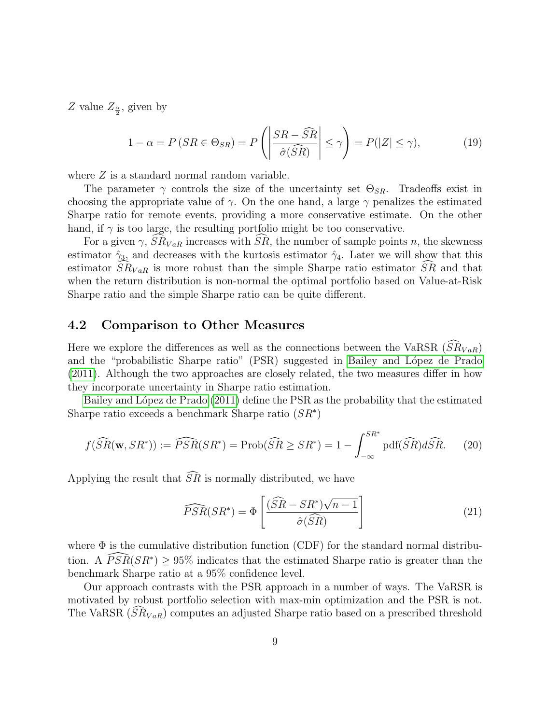Z value  $Z_{\frac{\alpha}{2}}$ , given by

$$
1 - \alpha = P(SR \in \Theta_{SR}) = P\left(\left|\frac{SR - \widehat{SR}}{\widehat{\sigma}(\widehat{SR})}\right| \le \gamma\right) = P(|Z| \le \gamma),\tag{19}
$$

where  $Z$  is a standard normal random variable.

The parameter  $\gamma$  controls the size of the uncertainty set  $\Theta_{SR}$ . Tradeoffs exist in choosing the appropriate value of  $\gamma$ . On the one hand, a large  $\gamma$  penalizes the estimated Sharpe ratio for remote events, providing a more conservative estimate. On the other hand, if  $\gamma$  is too large, the resulting portfolio might be too conservative.

For a given  $\gamma$ ,  $\widehat{SR}_{VaR}$  increases with  $\widehat{SR}$ , the number of sample points n, the skewness estimator  $\hat{\gamma}_3$ , and decreases with the kurtosis estimator  $\hat{\gamma}_4$ . Later we will show that this estimator  $SR_{VaR}$  is more robust than the simple Sharpe ratio estimator  $SR$  and that when the return distribution is non-normal the optimal portfolio based on Value-at-Risk Sharpe ratio and the simple Sharpe ratio can be quite different.

#### 4.2 Comparison to Other Measures

Here we explore the differences as well as the connections between the VaRSR  $(SR_{VaR})$ and the "probabilistic Sharpe ratio" (PSR) suggested in Bailey and López de Prado [\(2011\)](#page-20-1). Although the two approaches are closely related, the two measures differ in how they incorporate uncertainty in Sharpe ratio estimation.

Bailey and López de Prado [\(2011\)](#page-20-1) define the PSR as the probability that the estimated Sharpe ratio exceeds a benchmark Sharpe ratio  $(SR^*)$ 

$$
f(\widehat{SR}(\mathbf{w}, SR^*)) := \widehat{PSR}(SR^*) = \text{Prob}(\widehat{SR} \ge SR^*) = 1 - \int_{-\infty}^{SR^*} \text{pdf}(\widehat{SR}) d\widehat{SR}.
$$
 (20)

Applying the result that  $\widehat{SR}$  is normally distributed, we have

<span id="page-8-0"></span>
$$
\widehat{PSR}(SR^*) = \Phi\left[\frac{(\widehat{SR} - SR^*)\sqrt{n-1}}{\widehat{\sigma}(\widehat{SR})}\right]
$$
\n(21)

where  $\Phi$  is the cumulative distribution function (CDF) for the standard normal distribution. A  $\widehat{PSR}(SR^*) \geq 95\%$  indicates that the estimated Sharpe ratio is greater than the benchmark Sharpe ratio at a 95% confidence level.

Our approach contrasts with the PSR approach in a number of ways. The VaRSR is motivated by robust portfolio selection with max-min optimization and the PSR is not. The VaRSR  $(SR_{VaR})$  computes an adjusted Sharpe ratio based on a prescribed threshold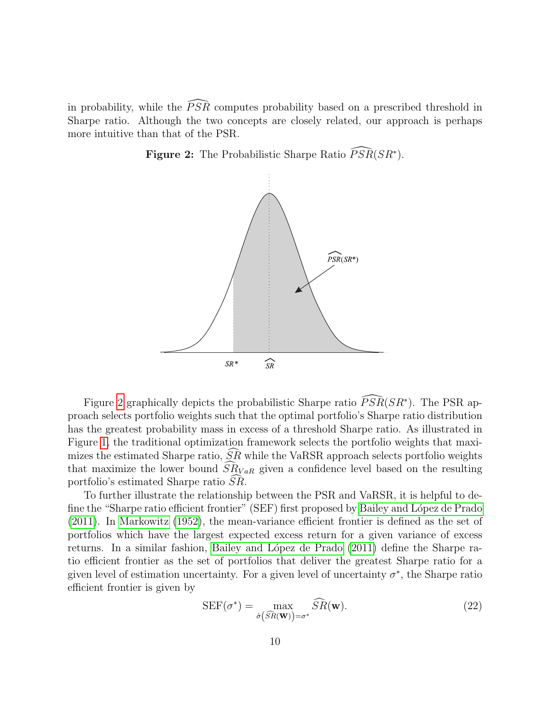<span id="page-9-0"></span>in probability, while the  $\widehat{PSR}$  computes probability based on a prescribed threshold in Sharpe ratio. Although the two concepts are closely related, our approach is perhaps more intuitive than that of the PSR.





Figure [2](#page-9-0) graphically depicts the probabilistic Sharpe ratio  $\widehat{PSR}(SR^*)$ . The PSR approach selects portfolio weights such that the optimal portfolio's Sharpe ratio distribution has the greatest probability mass in excess of a threshold Sharpe ratio. As illustrated in Figure [1,](#page-7-0) the traditional optimization framework selects the portfolio weights that maximizes the estimated Sharpe ratio,  $SR$  while the VaRSR approach selects portfolio weights that maximize the lower bound  $S\tilde{R}_{VaR}$  given a confidence level based on the resulting portfolio's estimated Sharpe ratio  $SR$ .

To further illustrate the relationship between the PSR and VaRSR, it is helpful to define the "Sharpe ratio efficient frontier" (SEF) first proposed by Bailey and López de Prado [\(2011\)](#page-20-1). In [Markowitz](#page-20-13) [\(1952\)](#page-20-13), the mean-variance efficient frontier is defined as the set of portfolios which have the largest expected excess return for a given variance of excess returns. In a similar fashion, Bailey and López de Prado [\(2011\)](#page-20-1) define the Sharpe ratio efficient frontier as the set of portfolios that deliver the greatest Sharpe ratio for a given level of estimation uncertainty. For a given level of uncertainty  $\sigma^*$ , the Sharpe ratio efficient frontier is given by

$$
SEF(\sigma^*) = \max_{\hat{\sigma}(\widehat{SR}(\mathbf{W})) = \sigma^*} \widehat{SR}(\mathbf{w}).
$$
\n(22)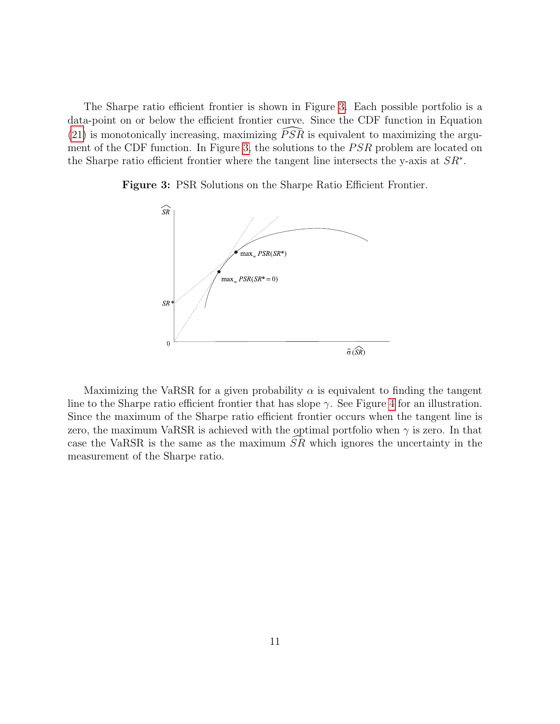The Sharpe ratio efficient frontier is shown in Figure [3.](#page-10-0) Each possible portfolio is a data-point on or below the efficient frontier curve. Since the CDF function in Equation [\(21\)](#page-8-0) is monotonically increasing, maximizing  $\widehat{PSR}$  is equivalent to maximizing the argu-ment of the CDF function. In Figure [3,](#page-10-0) the solutions to the PSR problem are located on the Sharpe ratio efficient frontier where the tangent line intersects the y-axis at  $SR^*$ .



<span id="page-10-0"></span>Figure 3: PSR Solutions on the Sharpe Ratio Efficient Frontier.

Maximizing the VaRSR for a given probability  $\alpha$  is equivalent to finding the tangent line to the Sharpe ratio efficient frontier that has slope  $\gamma$ . See Figure [4](#page-11-1) for an illustration. Since the maximum of the Sharpe ratio efficient frontier occurs when the tangent line is zero, the maximum VaRSR is achieved with the optimal portfolio when  $\gamma$  is zero. In that case the VaRSR is the same as the maximum  $SR$  which ignores the uncertainty in the measurement of the Sharpe ratio.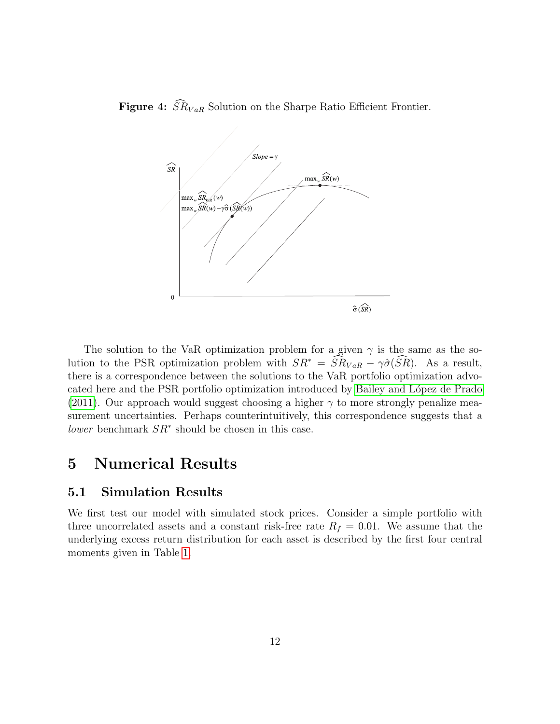<span id="page-11-1"></span>Figure 4:  $\widehat{SR}_{VaR}$  Solution on the Sharpe Ratio Efficient Frontier.



The solution to the VaR optimization problem for a given  $\gamma$  is the same as the solution to the PSR optimization problem with  $SR^* = \widehat{SR}_{VaR} - \gamma \widehat{\sigma}(\widehat{SR})$ . As a result, there is a correspondence between the solutions to the VaR portfolio optimization advocated here and the PSR portfolio optimization introduced by Bailey and López de Prado [\(2011\)](#page-20-1). Our approach would suggest choosing a higher  $\gamma$  to more strongly penalize measurement uncertainties. Perhaps counterintuitively, this correspondence suggests that a lower benchmark  $SR^*$  should be chosen in this case.

## <span id="page-11-0"></span>5 Numerical Results

#### <span id="page-11-2"></span>5.1 Simulation Results

We first test our model with simulated stock prices. Consider a simple portfolio with three uncorrelated assets and a constant risk-free rate  $R_f = 0.01$ . We assume that the underlying excess return distribution for each asset is described by the first four central moments given in Table [1.](#page-12-0)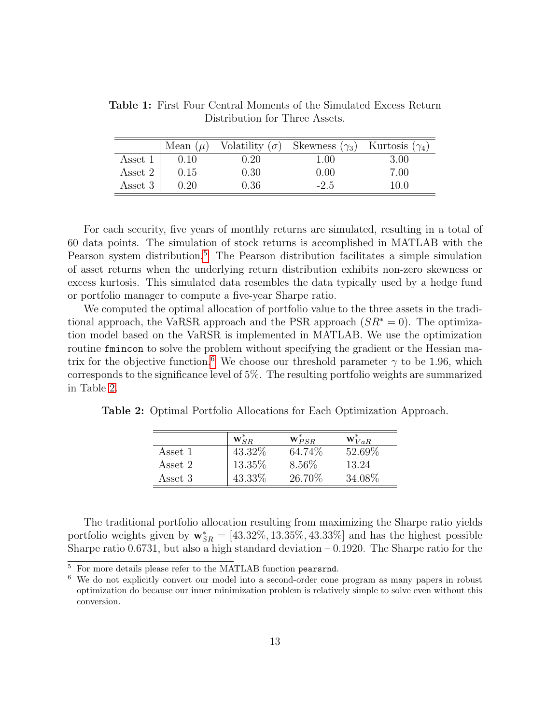|         | Mean $(\mu)$ |            | Volatility $(\sigma)$ Skewness $(\gamma_3)$ Kurtosis $(\gamma_4)$ |      |
|---------|--------------|------------|-------------------------------------------------------------------|------|
| Asset 1 | 0.10         | $\rm 0.20$ | 1.00                                                              | 3.00 |
| Asset 2 | 0.15         | 0.30       | 0.00                                                              | 7.00 |
| Asset 3 | 0.20         | 0.36       | $-2.5$                                                            | 10.0 |

<span id="page-12-0"></span>Table 1: First Four Central Moments of the Simulated Excess Return Distribution for Three Assets.

For each security, five years of monthly returns are simulated, resulting in a total of 60 data points. The simulation of stock returns is accomplished in MATLAB with the Pearson system distribution.<sup>[5](#page-0-0)</sup> The Pearson distribution facilitates a simple simulation of asset returns when the underlying return distribution exhibits non-zero skewness or excess kurtosis. This simulated data resembles the data typically used by a hedge fund or portfolio manager to compute a five-year Sharpe ratio.

We computed the optimal allocation of portfolio value to the three assets in the traditional approach, the VaRSR approach and the PSR approach  $(SR^* = 0)$ . The optimization model based on the VaRSR is implemented in MATLAB. We use the optimization routine fining to solve the problem without specifying the gradient or the Hessian ma-trix for the objective function.<sup>[6](#page-0-0)</sup> We choose our threshold parameter  $\gamma$  to be 1.96, which corresponds to the significance level of 5%. The resulting portfolio weights are summarized in Table [2.](#page-12-1)

<span id="page-12-1"></span>Table 2: Optimal Portfolio Allocations for Each Optimization Approach.

|         | $\mathbf{W}_{\alpha}^*$ | $\mathbf{w}_{PSR}^*$ | $\mathbf{w}_{VaR}^*$ |
|---------|-------------------------|----------------------|----------------------|
| Asset 1 | 43.32\%                 | 64.74%               | 52.69%               |
| Asset 2 | 13.35%                  | 8.56\%               | 13.24                |
| Asset 3 | 43.33%                  | 26.70%               | 34.08%               |

The traditional portfolio allocation resulting from maximizing the Sharpe ratio yields portfolio weights given by  $\mathbf{w}_{SR}^* = [43.32\%, 13.35\%, 43.33\%]$  and has the highest possible Sharpe ratio  $0.6731$ , but also a high standard deviation  $-0.1920$ . The Sharpe ratio for the

 $\overline{5}$  For more details please refer to the MATLAB function pearsrnd.

<sup>6</sup> We do not explicitly convert our model into a second-order cone program as many papers in robust optimization do because our inner minimization problem is relatively simple to solve even without this conversion.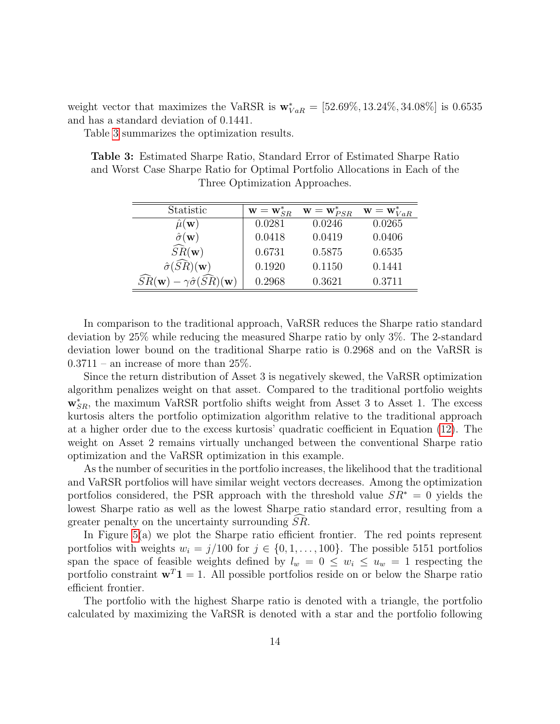weight vector that maximizes the VaRSR is  $\mathbf{w}_{VaR}^* = [52.69\%, 13.24\%, 34.08\%]$  is 0.6535 and has a standard deviation of 0.1441.

<span id="page-13-0"></span>Table [3](#page-13-0) summarizes the optimization results.

Table 3: Estimated Sharpe Ratio, Standard Error of Estimated Sharpe Ratio and Worst Case Sharpe Ratio for Optimal Portfolio Allocations in Each of the Three Optimization Approaches.

| Statistic                                                                  | $\mathbf{w} = \mathbf{w}_{SR}^*$ | $\mathbf{w} = \mathbf{w}_{PSR}^*$ | $\mathbf{w}=\mathbf{w}_{VaR}^*$ |
|----------------------------------------------------------------------------|----------------------------------|-----------------------------------|---------------------------------|
| $\mu(\mathbf{w})$                                                          | 0.0281                           | 0.0246                            | 0.0265                          |
| $\hat{\sigma}(\mathbf{w})$                                                 | 0.0418                           | 0.0419                            | 0.0406                          |
| $\widehat{SR}(\mathbf{w})$                                                 | 0.6731                           | 0.5875                            | 0.6535                          |
| $\hat{\sigma}(\widehat{SR})({\bf w})$                                      | 0.1920                           | 0.1150                            | 0.1441                          |
| $\widehat{SR}(\mathbf{w})$<br>$-\gamma\hat{\sigma}(\widehat{SR})({\bf w})$ | 0.2968                           | 0.3621                            | 0.3711                          |

In comparison to the traditional approach, VaRSR reduces the Sharpe ratio standard deviation by 25% while reducing the measured Sharpe ratio by only 3%. The 2-standard deviation lower bound on the traditional Sharpe ratio is 0.2968 and on the VaRSR is  $0.3711$  – an increase of more than  $25\%$ .

Since the return distribution of Asset 3 is negatively skewed, the VaRSR optimization algorithm penalizes weight on that asset. Compared to the traditional portfolio weights  $\mathbf{w}_{SR}^*$ , the maximum VaRSR portfolio shifts weight from Asset 3 to Asset 1. The excess kurtosis alters the portfolio optimization algorithm relative to the traditional approach at a higher order due to the excess kurtosis' quadratic coefficient in Equation [\(12\)](#page-5-1). The weight on Asset 2 remains virtually unchanged between the conventional Sharpe ratio optimization and the VaRSR optimization in this example.

As the number of securities in the portfolio increases, the likelihood that the traditional and VaRSR portfolios will have similar weight vectors decreases. Among the optimization portfolios considered, the PSR approach with the threshold value  $SR^* = 0$  yields the lowest Sharpe ratio as well as the lowest Sharpe ratio standard error, resulting from a greater penalty on the uncertainty surrounding  $SR$ .

In Figure [5\(](#page-14-0)a) we plot the Sharpe ratio efficient frontier. The red points represent portfolios with weights  $w_i = j/100$  for  $j \in \{0, 1, ..., 100\}$ . The possible 5151 portfolios span the space of feasible weights defined by  $l_w = 0 \leq w_i \leq u_w = 1$  respecting the portfolio constraint  $\mathbf{w}^T \mathbf{1} = 1$ . All possible portfolios reside on or below the Sharpe ratio efficient frontier.

The portfolio with the highest Sharpe ratio is denoted with a triangle, the portfolio calculated by maximizing the VaRSR is denoted with a star and the portfolio following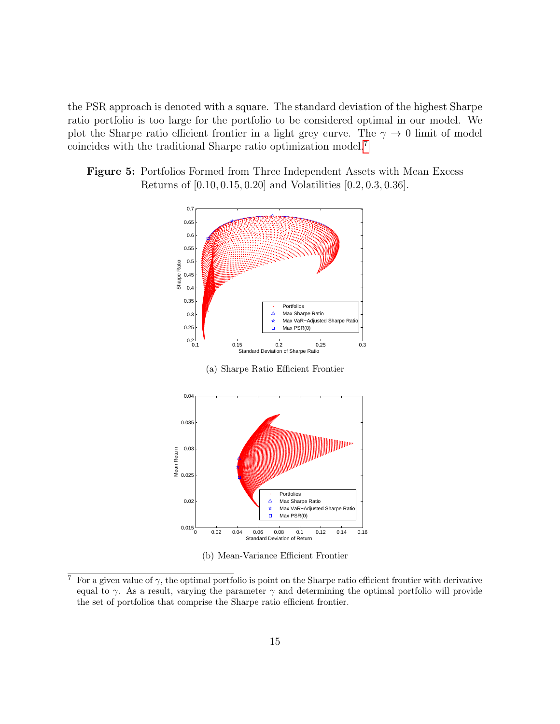the PSR approach is denoted with a square. The standard deviation of the highest Sharpe ratio portfolio is too large for the portfolio to be considered optimal in our model. We plot the Sharpe ratio efficient frontier in a light grey curve. The  $\gamma \to 0$  limit of model coincides with the traditional Sharpe ratio optimization model.[7](#page-0-0)

<span id="page-14-0"></span>Figure 5: Portfolios Formed from Three Independent Assets with Mean Excess Returns of [0.10, 0.15, 0.20] and Volatilities [0.2, 0.3, 0.36].





(b) Mean-Variance Efficient Frontier

<sup>&</sup>lt;sup>7</sup> For a given value of  $\gamma$ , the optimal portfolio is point on the Sharpe ratio efficient frontier with derivative equal to  $\gamma$ . As a result, varying the parameter  $\gamma$  and determining the optimal portfolio will provide the set of portfolios that comprise the Sharpe ratio efficient frontier.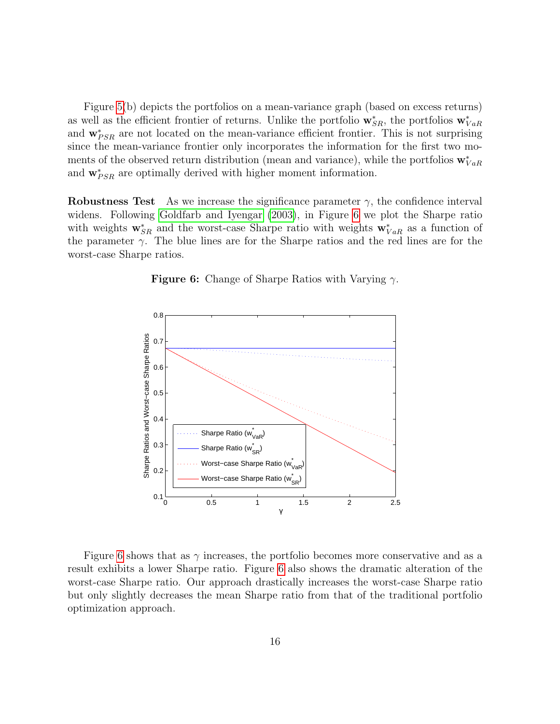Figure [5\(](#page-14-0)b) depicts the portfolios on a mean-variance graph (based on excess returns) as well as the efficient frontier of returns. Unlike the portfolio  $\mathbf{w}_{SR}^*$ , the portfolios  $\mathbf{w}_{VaR}^*$ and  $\mathbf{w}_{PSR}^*$  are not located on the mean-variance efficient frontier. This is not surprising since the mean-variance frontier only incorporates the information for the first two moments of the observed return distribution (mean and variance), while the portfolios  $\mathbf{w}_{VaR}^*$ and  $\mathbf{w}_{PSR}^*$  are optimally derived with higher moment information.

<span id="page-15-0"></span>Robustness Test As we increase the significance parameter  $\gamma$ , the confidence interval widens. Following [Goldfarb and Iyengar](#page-20-6) [\(2003\)](#page-20-6), in Figure [6](#page-15-0) we plot the Sharpe ratio with weights  $\mathbf{w}_{SR}^*$  and the worst-case Sharpe ratio with weights  $\mathbf{w}_{VaR}^*$  as a function of the parameter  $\gamma$ . The blue lines are for the Sharpe ratios and the red lines are for the worst-case Sharpe ratios.



**Figure 6:** Change of Sharpe Ratios with Varying  $\gamma$ .

Figure [6](#page-15-0) shows that as  $\gamma$  increases, the portfolio becomes more conservative and as a result exhibits a lower Sharpe ratio. Figure [6](#page-15-0) also shows the dramatic alteration of the worst-case Sharpe ratio. Our approach drastically increases the worst-case Sharpe ratio but only slightly decreases the mean Sharpe ratio from that of the traditional portfolio optimization approach.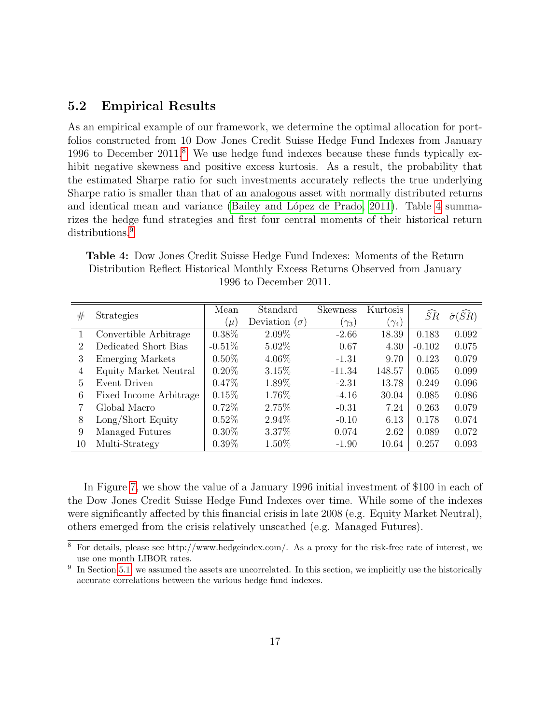### 5.2 Empirical Results

As an empirical example of our framework, we determine the optimal allocation for portfolios constructed from 10 Dow Jones Credit Suisse Hedge Fund Indexes from January 1996 to December 2011.[8](#page-0-0) We use hedge fund indexes because these funds typically exhibit negative skewness and positive excess kurtosis. As a result, the probability that the estimated Sharpe ratio for such investments accurately reflects the true underlying Sharpe ratio is smaller than that of an analogous asset with normally distributed returns and identical mean and variance (Bailey and López de Prado, 2011). Table [4](#page-16-0) summarizes the hedge fund strategies and first four central moments of their historical return distributions.<sup>[9](#page-0-0)</sup>

<span id="page-16-0"></span>Table 4: Dow Jones Credit Suisse Hedge Fund Indexes: Moments of the Return Distribution Reflect Historical Monthly Excess Returns Observed from January 1996 to December 2011.

|                |                        | Mean     | Standard             | <b>Skewness</b> | Kurtosis     |                 |                            |
|----------------|------------------------|----------|----------------------|-----------------|--------------|-----------------|----------------------------|
| #              | <b>Strategies</b>      | $\mu$    | Deviation $(\sigma)$ | $(\gamma_3)$    | $(\gamma_4)$ | $S\overline{R}$ | $\hat{\sigma}(S\tilde{R})$ |
|                | Convertible Arbitrage  | $0.38\%$ | $2.09\%$             | $-2.66$         | 18.39        | 0.183           | 0.092                      |
| $\mathfrak{D}$ | Dedicated Short Bias   | $-0.51%$ | $5.02\%$             | 0.67            | 4.30         | $-0.102$        | 0.075                      |
| 3              | Emerging Markets       | $0.50\%$ | 4.06\%               | $-1.31$         | 9.70         | 0.123           | 0.079                      |
| 4              | Equity Market Neutral  | $0.20\%$ | 3.15%                | $-11.34$        | 148.57       | 0.065           | 0.099                      |
| 5              | Event Driven           | $0.47\%$ | 1.89%                | $-2.31$         | 13.78        | 0.249           | 0.096                      |
| 6              | Fixed Income Arbitrage | 0.15%    | 1.76%                | $-4.16$         | 30.04        | 0.085           | 0.086                      |
|                | Global Macro           | $0.72\%$ | 2.75%                | $-0.31$         | 7.24         | 0.263           | 0.079                      |
| 8              | Long/Short Equity      | $0.52\%$ | $2.94\%$             | $-0.10$         | 6.13         | 0.178           | 0.074                      |
| 9              | Managed Futures        | $0.30\%$ | 3.37%                | 0.074           | 2.62         | 0.089           | 0.072                      |
| 10             | Multi-Strategy         | $0.39\%$ | $1.50\%$             | $-1.90$         | 10.64        | 0.257           | 0.093                      |

In Figure [7,](#page-17-0) we show the value of a January 1996 initial investment of \$100 in each of the Dow Jones Credit Suisse Hedge Fund Indexes over time. While some of the indexes were significantly affected by this financial crisis in late 2008 (e.g. Equity Market Neutral), others emerged from the crisis relatively unscathed (e.g. Managed Futures).

 $\overline{\text{8}$  For details, please see http://www.hedgeindex.com/. As a proxy for the risk-free rate of interest, we use one month LIBOR rates.

 $9\text{ In Section 5.1, we assumed the assets are uncorrelated. In this section, we implicitly use the historically$  $9\text{ In Section 5.1, we assumed the assets are uncorrelated. In this section, we implicitly use the historically$  $9\text{ In Section 5.1, we assumed the assets are uncorrelated. In this section, we implicitly use the historically$ accurate correlations between the various hedge fund indexes.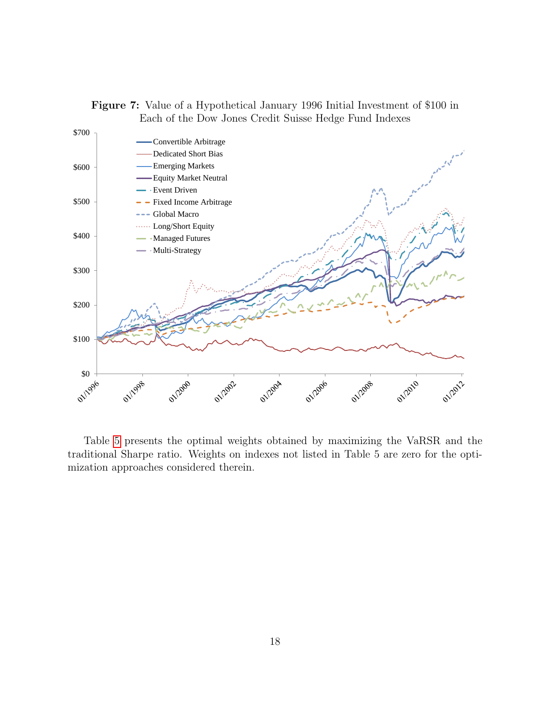<span id="page-17-0"></span>



Table [5](#page-18-0) presents the optimal weights obtained by maximizing the VaRSR and the traditional Sharpe ratio. Weights on indexes not listed in Table 5 are zero for the optimization approaches considered therein.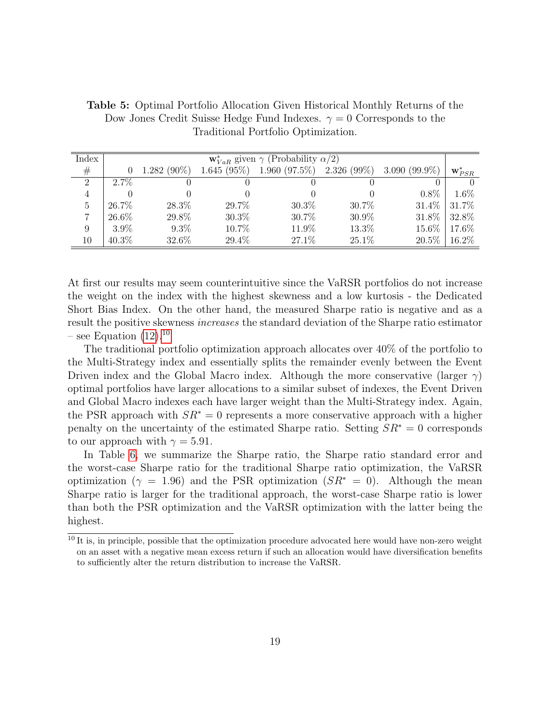| Index          | $\mathbf{w}_{VaR}^*$ given $\gamma$ (Probability $\alpha/2$ ) |               |               |                                               |       |          |                      |
|----------------|---------------------------------------------------------------|---------------|---------------|-----------------------------------------------|-------|----------|----------------------|
| #              |                                                               | $1.282(90\%)$ | $1.645(95\%)$ | $1.960(97.5\%)$ $2.326(99\%)$ $3.090(99.9\%)$ |       |          | $\mathbf{w}_{PSR}^*$ |
| 2              | $2.7\%$                                                       |               |               |                                               |       |          |                      |
| $\overline{4}$ |                                                               |               |               |                                               |       | $0.8\%$  | $1.6\%$              |
| $\overline{5}$ | 26.7%                                                         | 28.3%         | 29.7%         | $30.3\%$                                      | 30.7% | 31.4%    | 31.7%                |
|                | 26.6%                                                         | 29.8%         | $30.3\%$      | 30.7%                                         | 30.9% | 31.8%    | 32.8%                |
| 9              | $3.9\%$                                                       | $9.3\%$       | 10.7%         | 11.9%                                         | 13.3% | 15.6%    | 17.6%                |
| 10             | $40.3\%$                                                      | 32.6%         | 29.4%         | 27.1\%                                        | 25.1% | $20.5\%$ | 16.2%                |

<span id="page-18-0"></span>Table 5: Optimal Portfolio Allocation Given Historical Monthly Returns of the Dow Jones Credit Suisse Hedge Fund Indexes.  $\gamma = 0$  Corresponds to the Traditional Portfolio Optimization.

At first our results may seem counterintuitive since the VaRSR portfolios do not increase the weight on the index with the highest skewness and a low kurtosis - the Dedicated Short Bias Index. On the other hand, the measured Sharpe ratio is negative and as a result the positive skewness increases the standard deviation of the Sharpe ratio estimator – see Equation  $(12).^{10}$  $(12).^{10}$  $(12).^{10}$  $(12).^{10}$ 

The traditional portfolio optimization approach allocates over 40% of the portfolio to the Multi-Strategy index and essentially splits the remainder evenly between the Event Driven index and the Global Macro index. Although the more conservative (larger  $\gamma$ ) optimal portfolios have larger allocations to a similar subset of indexes, the Event Driven and Global Macro indexes each have larger weight than the Multi-Strategy index. Again, the PSR approach with  $SR^* = 0$  represents a more conservative approach with a higher penalty on the uncertainty of the estimated Sharpe ratio. Setting  $SR^* = 0$  corresponds to our approach with  $\gamma = 5.91$ .

In Table [6,](#page-19-0) we summarize the Sharpe ratio, the Sharpe ratio standard error and the worst-case Sharpe ratio for the traditional Sharpe ratio optimization, the VaRSR optimization ( $\gamma = 1.96$ ) and the PSR optimization ( $SR^* = 0$ ). Although the mean Sharpe ratio is larger for the traditional approach, the worst-case Sharpe ratio is lower than both the PSR optimization and the VaRSR optimization with the latter being the highest.

 $10$  It is, in principle, possible that the optimization procedure advocated here would have non-zero weight on an asset with a negative mean excess return if such an allocation would have diversification benefits to sufficiently alter the return distribution to increase the VaRSR.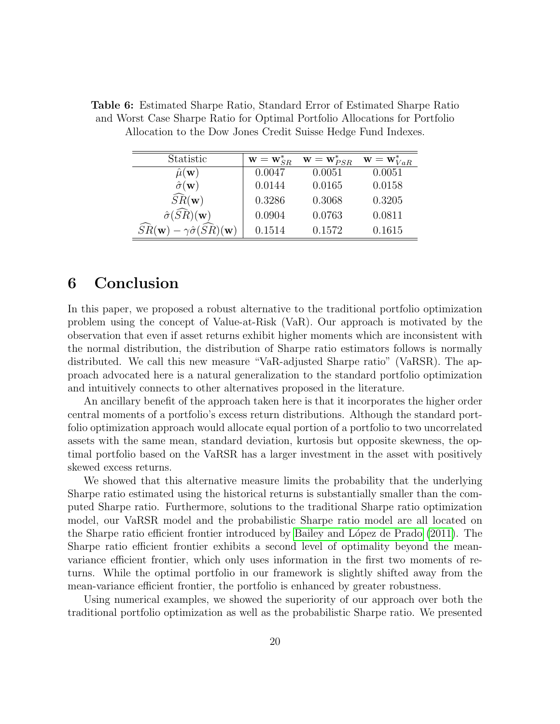| Statistic                                                                  | $\mathbf{w} = \mathbf{w}_{SR}^*$ | $\mathbf{w} = \mathbf{w}_{PSR}^*$ | $\mathbf{w} = \mathbf{w}_{VaR}^*$ |
|----------------------------------------------------------------------------|----------------------------------|-----------------------------------|-----------------------------------|
| $\mu(\textbf{w})$                                                          | 0.0047                           | 0.0051                            | 0.0051                            |
| $\hat{\sigma}(\mathbf{w})$                                                 | 0.0144                           | 0.0165                            | 0.0158                            |
| $\widehat{SR}(\mathbf{w})$                                                 | 0.3286                           | 0.3068                            | 0.3205                            |
| $\hat{\sigma}(\widehat{SR})({\bf w})$                                      | 0.0904                           | 0.0763                            | 0.0811                            |
| $\widehat{SR}(\mathbf{w})$<br>$-\gamma\hat{\sigma}(\widehat{SR})({\bf w})$ | 0.1514                           | 0.1572                            | 0.1615                            |

<span id="page-19-0"></span>Table 6: Estimated Sharpe Ratio, Standard Error of Estimated Sharpe Ratio and Worst Case Sharpe Ratio for Optimal Portfolio Allocations for Portfolio Allocation to the Dow Jones Credit Suisse Hedge Fund Indexes.

### 6 Conclusion

In this paper, we proposed a robust alternative to the traditional portfolio optimization problem using the concept of Value-at-Risk (VaR). Our approach is motivated by the observation that even if asset returns exhibit higher moments which are inconsistent with the normal distribution, the distribution of Sharpe ratio estimators follows is normally distributed. We call this new measure "VaR-adjusted Sharpe ratio" (VaRSR). The approach advocated here is a natural generalization to the standard portfolio optimization and intuitively connects to other alternatives proposed in the literature.

An ancillary benefit of the approach taken here is that it incorporates the higher order central moments of a portfolio's excess return distributions. Although the standard portfolio optimization approach would allocate equal portion of a portfolio to two uncorrelated assets with the same mean, standard deviation, kurtosis but opposite skewness, the optimal portfolio based on the VaRSR has a larger investment in the asset with positively skewed excess returns.

We showed that this alternative measure limits the probability that the underlying Sharpe ratio estimated using the historical returns is substantially smaller than the computed Sharpe ratio. Furthermore, solutions to the traditional Sharpe ratio optimization model, our VaRSR model and the probabilistic Sharpe ratio model are all located on the Sharpe ratio efficient frontier introduced by Bailey and López de Prado [\(2011\)](#page-20-1). The Sharpe ratio efficient frontier exhibits a second level of optimality beyond the meanvariance efficient frontier, which only uses information in the first two moments of returns. While the optimal portfolio in our framework is slightly shifted away from the mean-variance efficient frontier, the portfolio is enhanced by greater robustness.

Using numerical examples, we showed the superiority of our approach over both the traditional portfolio optimization as well as the probabilistic Sharpe ratio. We presented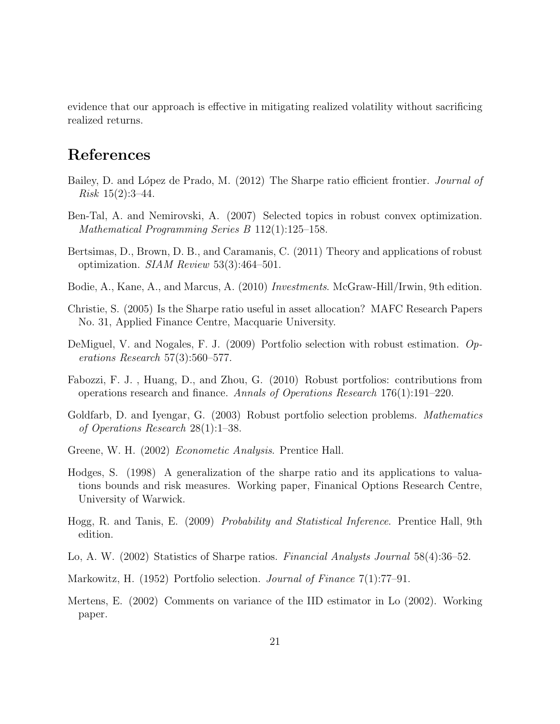evidence that our approach is effective in mitigating realized volatility without sacrificing realized returns.

## References

- <span id="page-20-1"></span>Bailey, D. and López de Prado, M. (2012) The Sharpe ratio efficient frontier. *Journal of Risk*  $15(2):3-44$ .
- <span id="page-20-10"></span>Ben-Tal, A. and Nemirovski, A. (2007) Selected topics in robust convex optimization. Mathematical Programming Series B 112(1):125–158.
- <span id="page-20-9"></span>Bertsimas, D., Brown, D. B., and Caramanis, C. (2011) Theory and applications of robust optimization. SIAM Review 53(3):464–501.
- <span id="page-20-0"></span>Bodie, A., Kane, A., and Marcus, A. (2010) Investments. McGraw-Hill/Irwin, 9th edition.
- <span id="page-20-5"></span>Christie, S. (2005) Is the Sharpe ratio useful in asset allocation? MAFC Research Papers No. 31, Applied Finance Centre, Macquarie University.
- <span id="page-20-7"></span>DeMiguel, V. and Nogales, F. J. (2009) Portfolio selection with robust estimation. Operations Research 57(3):560–577.
- <span id="page-20-8"></span>Fabozzi, F. J. , Huang, D., and Zhou, G. (2010) Robust portfolios: contributions from operations research and finance. Annals of Operations Research 176(1):191–220.
- <span id="page-20-6"></span>Goldfarb, D. and Iyengar, G. (2003) Robust portfolio selection problems. Mathematics of Operations Research 28(1):1–38.
- <span id="page-20-12"></span>Greene, W. H. (2002) Econometic Analysis. Prentice Hall.
- <span id="page-20-2"></span>Hodges, S. (1998) A generalization of the sharpe ratio and its applications to valuations bounds and risk measures. Working paper, Finanical Options Research Centre, University of Warwick.
- <span id="page-20-11"></span>Hogg, R. and Tanis, E. (2009) Probability and Statistical Inference. Prentice Hall, 9th edition.
- <span id="page-20-3"></span>Lo, A. W. (2002) Statistics of Sharpe ratios. Financial Analysts Journal 58(4):36–52.
- <span id="page-20-13"></span>Markowitz, H. (1952) Portfolio selection. Journal of Finance 7(1):77–91.
- <span id="page-20-4"></span>Mertens, E. (2002) Comments on variance of the IID estimator in Lo (2002). Working paper.